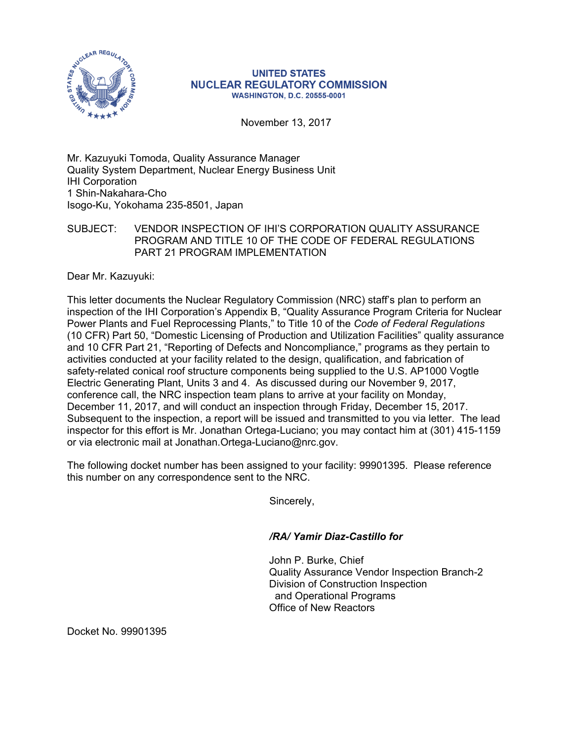

## **UNITED STATES NUCLEAR REGULATORY COMMISSION WASHINGTON, D.C. 20555-0001**

November 13, 2017

Mr. Kazuyuki Tomoda, Quality Assurance Manager Quality System Department, Nuclear Energy Business Unit IHI Corporation 1 Shin-Nakahara-Cho Isogo-Ku, Yokohama 235-8501, Japan

## SUBJECT: VENDOR INSPECTION OF IHI'S CORPORATION QUALITY ASSURANCE PROGRAM AND TITLE 10 OF THE CODE OF FEDERAL REGULATIONS PART 21 PROGRAM IMPLEMENTATION

Dear Mr. Kazuyuki:

This letter documents the Nuclear Regulatory Commission (NRC) staff's plan to perform an inspection of the IHI Corporation's Appendix B, "Quality Assurance Program Criteria for Nuclear Power Plants and Fuel Reprocessing Plants," to Title 10 of the *Code of Federal Regulations* (10 CFR) Part 50, "Domestic Licensing of Production and Utilization Facilities" quality assurance and 10 CFR Part 21, "Reporting of Defects and Noncompliance," programs as they pertain to activities conducted at your facility related to the design, qualification, and fabrication of safety-related conical roof structure components being supplied to the U.S. AP1000 Vogtle Electric Generating Plant, Units 3 and 4. As discussed during our November 9, 2017, conference call, the NRC inspection team plans to arrive at your facility on Monday, December 11, 2017, and will conduct an inspection through Friday, December 15, 2017. Subsequent to the inspection, a report will be issued and transmitted to you via letter. The lead inspector for this effort is Mr. Jonathan Ortega-Luciano; you may contact him at (301) 415-1159 or via electronic mail at Jonathan.Ortega-Luciano@nrc.gov.

The following docket number has been assigned to your facility: 99901395. Please reference this number on any correspondence sent to the NRC.

Sincerely,

## */RA/ Yamir Diaz-Castillo for*

John P. Burke, Chief Quality Assurance Vendor Inspection Branch-2 Division of Construction Inspection and Operational Programs Office of New Reactors

Docket No. 99901395